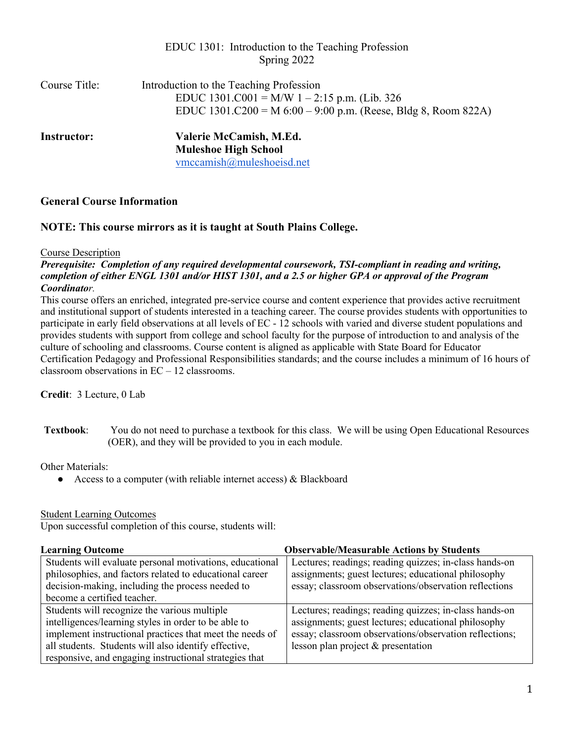|                    | EDUC 1301: Introduction to the Teaching Profession<br>Spring 2022                                                                                           |
|--------------------|-------------------------------------------------------------------------------------------------------------------------------------------------------------|
| Course Title:      | Introduction to the Teaching Profession<br>EDUC 1301.C001 = M/W 1 – 2:15 p.m. (Lib. 326<br>EDUC 1301.C200 = M $6:00 - 9:00$ p.m. (Reese, Bldg 8, Room 822A) |
| <b>Instructor:</b> | Valerie McCamish, M.Ed.<br><b>Muleshoe High School</b><br>vmccamish@muleshoeisd.net                                                                         |

## **General Course Information**

## **NOTE: This course mirrors as it is taught at South Plains College.**

#### Course Description

*Prerequisite: Completion of any required developmental coursework, TSI-compliant in reading and writing, completion of either ENGL 1301 and/or HIST 1301, and a 2.5 or higher GPA or approval of the Program Coordinator.*

This course offers an enriched, integrated pre-service course and content experience that provides active recruitment and institutional support of students interested in a teaching career. The course provides students with opportunities to participate in early field observations at all levels of EC - 12 schools with varied and diverse student populations and provides students with support from college and school faculty for the purpose of introduction to and analysis of the culture of schooling and classrooms. Course content is aligned as applicable with State Board for Educator Certification Pedagogy and Professional Responsibilities standards; and the course includes a minimum of 16 hours of classroom observations in EC – 12 classrooms.

**Credit**: 3 Lecture, 0 Lab

**Textbook**: You do not need to purchase a textbook for this class. We will be using Open Educational Resources (OER), and they will be provided to you in each module.

Other Materials:

 $\bullet$  Access to a computer (with reliable internet access) & Blackboard

#### Student Learning Outcomes

Upon successful completion of this course, students will:

| <b>Learning Outcome</b>                                  | <b>Observable/Measurable Actions by Students</b>       |  |
|----------------------------------------------------------|--------------------------------------------------------|--|
| Students will evaluate personal motivations, educational | Lectures; readings; reading quizzes; in-class hands-on |  |
| philosophies, and factors related to educational career  | assignments; guest lectures; educational philosophy    |  |
| decision-making, including the process needed to         | essay; classroom observations/observation reflections  |  |
| become a certified teacher.                              |                                                        |  |
| Students will recognize the various multiple             | Lectures; readings; reading quizzes; in-class hands-on |  |
| intelligences/learning styles in order to be able to     | assignments; guest lectures; educational philosophy    |  |
| implement instructional practices that meet the needs of | essay; classroom observations/observation reflections; |  |
| all students. Students will also identify effective,     | lesson plan project $&$ presentation                   |  |
| responsive, and engaging instructional strategies that   |                                                        |  |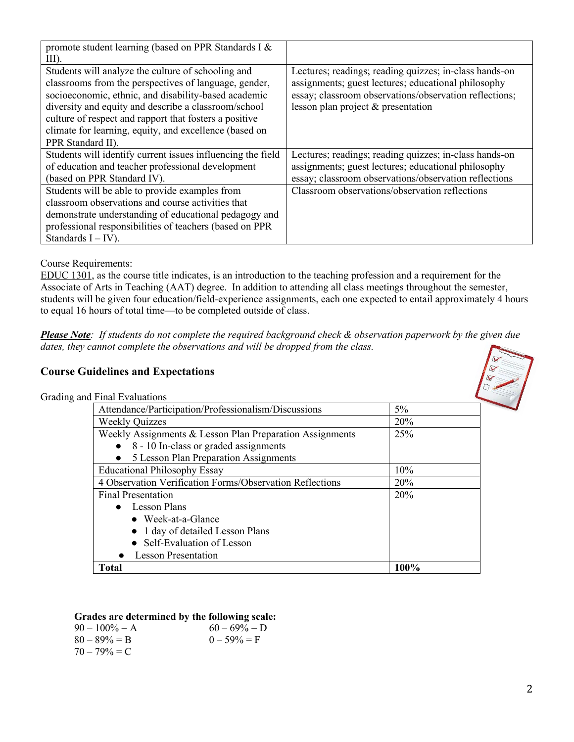| promote student learning (based on PPR Standards I &<br>$III$ ).                                                                                                                                                                                                                                                                                                     |                                                                                                                                                                                                                 |
|----------------------------------------------------------------------------------------------------------------------------------------------------------------------------------------------------------------------------------------------------------------------------------------------------------------------------------------------------------------------|-----------------------------------------------------------------------------------------------------------------------------------------------------------------------------------------------------------------|
| Students will analyze the culture of schooling and<br>classrooms from the perspectives of language, gender,<br>socioeconomic, ethnic, and disability-based academic<br>diversity and equity and describe a classroom/school<br>culture of respect and rapport that fosters a positive<br>climate for learning, equity, and excellence (based on<br>PPR Standard II). | Lectures; readings; reading quizzes; in-class hands-on<br>assignments; guest lectures; educational philosophy<br>essay; classroom observations/observation reflections;<br>lesson plan project $&$ presentation |
| Students will identify current issues influencing the field<br>of education and teacher professional development                                                                                                                                                                                                                                                     | Lectures; readings; reading quizzes; in-class hands-on<br>assignments; guest lectures; educational philosophy                                                                                                   |
| (based on PPR Standard IV).                                                                                                                                                                                                                                                                                                                                          | essay; classroom observations/observation reflections                                                                                                                                                           |
| Students will be able to provide examples from                                                                                                                                                                                                                                                                                                                       | Classroom observations/observation reflections                                                                                                                                                                  |
| classroom observations and course activities that                                                                                                                                                                                                                                                                                                                    |                                                                                                                                                                                                                 |
| demonstrate understanding of educational pedagogy and                                                                                                                                                                                                                                                                                                                |                                                                                                                                                                                                                 |
| professional responsibilities of teachers (based on PPR                                                                                                                                                                                                                                                                                                              |                                                                                                                                                                                                                 |
| Standards $I - IV$ ).                                                                                                                                                                                                                                                                                                                                                |                                                                                                                                                                                                                 |

## Course Requirements:

EDUC 1301, as the course title indicates, is an introduction to the teaching profession and a requirement for the Associate of Arts in Teaching (AAT) degree. In addition to attending all class meetings throughout the semester, students will be given four education/field-experience assignments, each one expected to entail approximately 4 hours to equal 16 hours of total time—to be completed outside of class.

*Please Note: If students do not complete the required background check & observation paperwork by the given due dates, they cannot complete the observations and will be dropped from the class.*

## **Course Guidelines and Expectations**

Grading and Final Evaluation

| Final Evaluations                                        |       |
|----------------------------------------------------------|-------|
| Attendance/Participation/Professionalism/Discussions     | $5\%$ |
| <b>Weekly Quizzes</b>                                    | 20%   |
| Weekly Assignments & Lesson Plan Preparation Assignments | 25%   |
| 8 - 10 In-class or graded assignments                    |       |
| 5 Lesson Plan Preparation Assignments                    |       |
| <b>Educational Philosophy Essay</b>                      | 10%   |
| 4 Observation Verification Forms/Observation Reflections | 20%   |
| <b>Final Presentation</b>                                | 20%   |
| • Lesson Plans                                           |       |
| $\bullet$ Week-at-a-Glance                               |       |
| • 1 day of detailed Lesson Plans                         |       |
| • Self-Evaluation of Lesson                              |       |
| • Lesson Presentation                                    |       |
| <b>Total</b>                                             | 100%  |

### **Grades are determined by the following scale:**

| $90 - 100\% = A$ | $60 - 69\% = D$ |
|------------------|-----------------|
| $80 - 89\% = B$  | $0 - 59\% = F$  |
| $70 - 79\% = C$  |                 |

 $\left(\frac{1}{\alpha}\right)$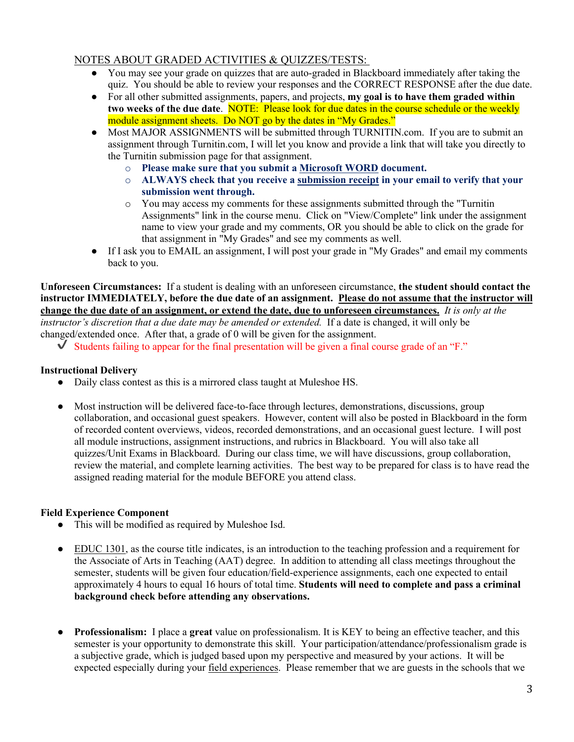## NOTES ABOUT GRADED ACTIVITIES & QUIZZES/TESTS:

- You may see your grade on quizzes that are auto-graded in Blackboard immediately after taking the quiz. You should be able to review your responses and the CORRECT RESPONSE after the due date.
- For all other submitted assignments, papers, and projects, **my goal is to have them graded within two weeks of the due date**. NOTE: Please look for due dates in the course schedule or the weekly module assignment sheets. Do NOT go by the dates in "My Grades."
- Most MAJOR ASSIGNMENTS will be submitted through TURNITIN.com. If you are to submit an assignment through Turnitin.com, I will let you know and provide a link that will take you directly to the Turnitin submission page for that assignment.
	- o **Please make sure that you submit a Microsoft WORD document.**
	- o **ALWAYS check that you receive a submission receipt in your email to verify that your submission went through.**
	- o You may access my comments for these assignments submitted through the "Turnitin Assignments" link in the course menu. Click on "View/Complete" link under the assignment name to view your grade and my comments, OR you should be able to click on the grade for that assignment in "My Grades" and see my comments as well.
- If I ask you to EMAIL an assignment, I will post your grade in "My Grades" and email my comments back to you.

**Unforeseen Circumstances:** If a student is dealing with an unforeseen circumstance, **the student should contact the instructor IMMEDIATELY, before the due date of an assignment. Please do not assume that the instructor will change the due date of an assignment, or extend the date, due to unforeseen circumstances.** *It is only at the instructor's discretion that a due date may be amended or extended.* If a date is changed, it will only be

changed/extended once. After that, a grade of 0 will be given for the assignment.

 $\checkmark$  Students failing to appear for the final presentation will be given a final course grade of an "F."

#### **Instructional Delivery**

- Daily class contest as this is a mirrored class taught at Muleshoe HS.
- Most instruction will be delivered face-to-face through lectures, demonstrations, discussions, group collaboration, and occasional guest speakers. However, content will also be posted in Blackboard in the form of recorded content overviews, videos, recorded demonstrations, and an occasional guest lecture. I will post all module instructions, assignment instructions, and rubrics in Blackboard. You will also take all quizzes/Unit Exams in Blackboard. During our class time, we will have discussions, group collaboration, review the material, and complete learning activities. The best way to be prepared for class is to have read the assigned reading material for the module BEFORE you attend class.

## **Field Experience Component**

- This will be modified as required by Muleshoe Isd.
- EDUC 1301, as the course title indicates, is an introduction to the teaching profession and a requirement for the Associate of Arts in Teaching (AAT) degree. In addition to attending all class meetings throughout the semester, students will be given four education/field-experience assignments, each one expected to entail approximately 4 hours to equal 16 hours of total time. **Students will need to complete and pass a criminal background check before attending any observations.**
- **Professionalism:** I place a **great** value on professionalism. It is KEY to being an effective teacher, and this semester is your opportunity to demonstrate this skill. Your participation/attendance/professionalism grade is a subjective grade, which is judged based upon my perspective and measured by your actions. It will be expected especially during your field experiences. Please remember that we are guests in the schools that we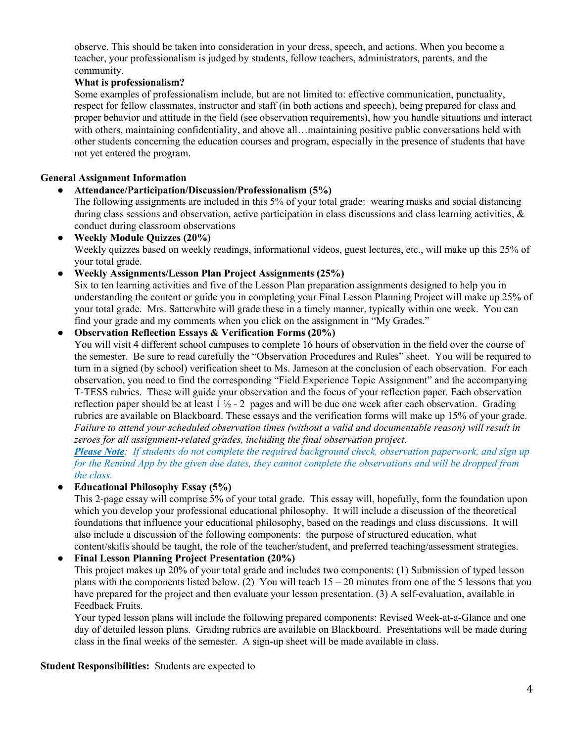observe. This should be taken into consideration in your dress, speech, and actions. When you become a teacher, your professionalism is judged by students, fellow teachers, administrators, parents, and the community.

## **What is professionalism?**

Some examples of professionalism include, but are not limited to: effective communication, punctuality, respect for fellow classmates, instructor and staff (in both actions and speech), being prepared for class and proper behavior and attitude in the field (see observation requirements), how you handle situations and interact with others, maintaining confidentiality, and above all…maintaining positive public conversations held with other students concerning the education courses and program, especially in the presence of students that have not yet entered the program.

### **General Assignment Information**

#### ● **Attendance/Participation/Discussion/Professionalism (5%)**

The following assignments are included in this 5% of your total grade: wearing masks and social distancing during class sessions and observation, active participation in class discussions and class learning activities,  $\&$ conduct during classroom observations

● **Weekly Module Quizzes (20%)** Weekly quizzes based on weekly readings, informational videos, guest lectures, etc., will make up this 25% of your total grade.

● **Weekly Assignments/Lesson Plan Project Assignments (25%)**

Six to ten learning activities and five of the Lesson Plan preparation assignments designed to help you in understanding the content or guide you in completing your Final Lesson Planning Project will make up 25% of your total grade. Mrs. Satterwhite will grade these in a timely manner, typically within one week. You can find your grade and my comments when you click on the assignment in "My Grades."

#### ● **Observation Reflection Essays & Verification Forms (20%)**

You will visit 4 different school campuses to complete 16 hours of observation in the field over the course of the semester. Be sure to read carefully the "Observation Procedures and Rules" sheet. You will be required to turn in a signed (by school) verification sheet to Ms. Jameson at the conclusion of each observation. For each observation, you need to find the corresponding "Field Experience Topic Assignment" and the accompanying T-TESS rubrics. These will guide your observation and the focus of your reflection paper. Each observation reflection paper should be at least  $1 \frac{1}{2} - 2$  pages and will be due one week after each observation. Grading rubrics are available on Blackboard. These essays and the verification forms will make up 15% of your grade. *Failure to attend your scheduled observation times (without a valid and documentable reason) will result in zeroes for all assignment-related grades, including the final observation project.* 

*Please Note: If students do not complete the required background check, observation paperwork, and sign up for the Remind App by the given due dates, they cannot complete the observations and will be dropped from the class.*

## ● **Educational Philosophy Essay (5%)**

This 2-page essay will comprise 5% of your total grade. This essay will, hopefully, form the foundation upon which you develop your professional educational philosophy. It will include a discussion of the theoretical foundations that influence your educational philosophy, based on the readings and class discussions. It will also include a discussion of the following components: the purpose of structured education, what content/skills should be taught, the role of the teacher/student, and preferred teaching/assessment strategies.

#### ● **Final Lesson Planning Project Presentation (20%)**

This project makes up 20% of your total grade and includes two components: (1) Submission of typed lesson plans with the components listed below. (2) You will teach 15 – 20 minutes from one of the 5 lessons that you have prepared for the project and then evaluate your lesson presentation. (3) A self-evaluation, available in Feedback Fruits.

Your typed lesson plans will include the following prepared components: Revised Week-at-a-Glance and one day of detailed lesson plans. Grading rubrics are available on Blackboard. Presentations will be made during class in the final weeks of the semester. A sign-up sheet will be made available in class.

#### **Student Responsibilities:** Students are expected to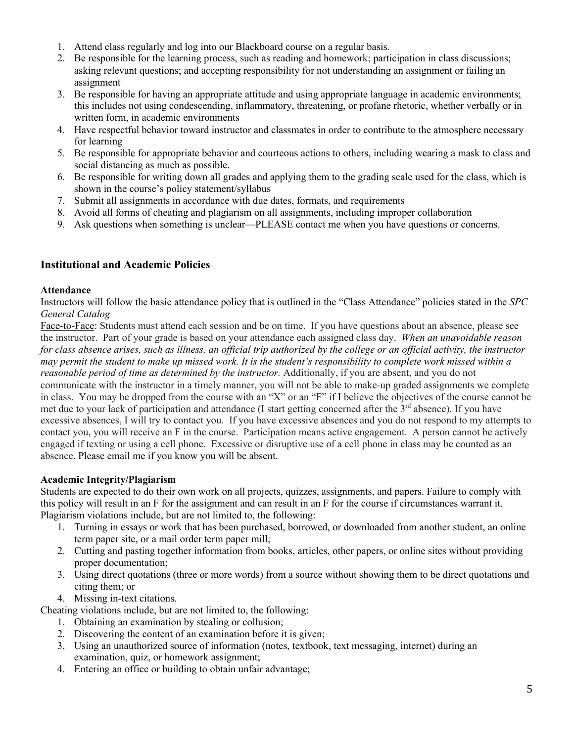- 1. Attend class regularly and log into our Blackboard course on a regular basis.
- 2. Be responsible for the learning process, such as reading and homework; participation in class discussions; asking relevant questions; and accepting responsibility for not understanding an assignment or failing an assignment
- 3. Be responsible for having an appropriate attitude and using appropriate language in academic environments; this includes not using condescending, inflammatory, threatening, or profane rhetoric, whether verbally or in written form, in academic environments
- 4. Have respectful behavior toward instructor and classmates in order to contribute to the atmosphere necessary for learning
- 5. Be responsible for appropriate behavior and courteous actions to others, including wearing a mask to class and social distancing as much as possible.
- 6. Be responsible for writing down all grades and applying them to the grading scale used for the class, which is shown in the course's policy statement/syllabus
- 7. Submit all assignments in accordance with due dates, formats, and requirements
- 8. Avoid all forms of cheating and plagiarism on all assignments, including improper collaboration
- 9. Ask questions when something is unclear—PLEASE contact me when you have questions or concerns.

# **Institutional and Academic Policies**

## **Attendance**

Instructors will follow the basic attendance policy that is outlined in the "Class Attendance" policies stated in the *SPC General Catalog*

Face-to-Face: Students must attend each session and be on time. If you have questions about an absence, please see the instructor. Part of your grade is based on your attendance each assigned class day. *When an unavoidable reason for class absence arises, such as illness, an official trip authorized by the college or an official activity, the instructor may permit the student to make up missed work. It is the student's responsibility to complete work missed within a reasonable period of time as determined by the instructor.* Additionally, if you are absent, and you do not communicate with the instructor in a timely manner, you will not be able to make-up graded assignments we complete in class. You may be dropped from the course with an "X" or an "F" if I believe the objectives of the course cannot be met due to your lack of participation and attendance (I start getting concerned after the  $3<sup>rd</sup>$  absence). If you have excessive absences, I will try to contact you. If you have excessive absences and you do not respond to my attempts to contact you, you will receive an F in the course. Participation means active engagement. A person cannot be actively engaged if texting or using a cell phone. Excessive or disruptive use of a cell phone in class may be counted as an absence. Please email me if you know you will be absent.

## **Academic Integrity/Plagiarism**

Students are expected to do their own work on all projects, quizzes, assignments, and papers. Failure to comply with this policy will result in an F for the assignment and can result in an F for the course if circumstances warrant it. Plagiarism violations include, but are not limited to, the following:

- 1. Turning in essays or work that has been purchased, borrowed, or downloaded from another student, an online term paper site, or a mail order term paper mill;
- 2. Cutting and pasting together information from books, articles, other papers, or online sites without providing proper documentation;
- 3. Using direct quotations (three or more words) from a source without showing them to be direct quotations and citing them; or
- 4. Missing in-text citations.

Cheating violations include, but are not limited to, the following:

- 1. Obtaining an examination by stealing or collusion;
- 2. Discovering the content of an examination before it is given;
- 3. Using an unauthorized source of information (notes, textbook, text messaging, internet) during an examination, quiz, or homework assignment;
- 4. Entering an office or building to obtain unfair advantage;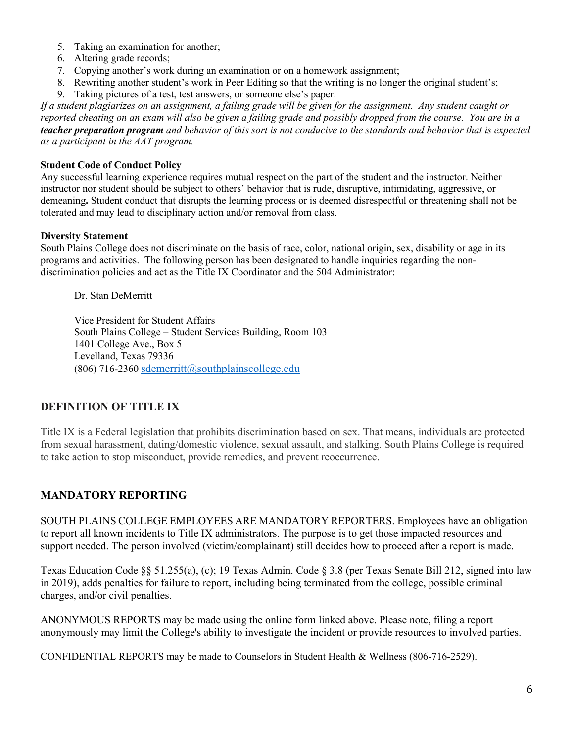- 5. Taking an examination for another;
- 6. Altering grade records;
- 7. Copying another's work during an examination or on a homework assignment;
- 8. Rewriting another student's work in Peer Editing so that the writing is no longer the original student's;
- 9. Taking pictures of a test, test answers, or someone else's paper.

*If a student plagiarizes on an assignment, a failing grade will be given for the assignment. Any student caught or reported cheating on an exam will also be given a failing grade and possibly dropped from the course. You are in a teacher preparation program and behavior of this sort is not conducive to the standards and behavior that is expected as a participant in the AAT program.* 

### **Student Code of Conduct Policy**

Any successful learning experience requires mutual respect on the part of the student and the instructor. Neither instructor nor student should be subject to others' behavior that is rude, disruptive, intimidating, aggressive, or demeaning**.** Student conduct that disrupts the learning process or is deemed disrespectful or threatening shall not be tolerated and may lead to disciplinary action and/or removal from class.

#### **Diversity Statement**

South Plains College does not discriminate on the basis of race, color, national origin, sex, disability or age in its programs and activities. The following person has been designated to handle inquiries regarding the nondiscrimination policies and act as the Title IX Coordinator and the 504 Administrator:

Dr. Stan DeMerritt

Vice President for Student Affairs South Plains College – Student Services Building, Room 103 1401 College Ave., Box 5 Levelland, Texas 79336  $(806)$  716-2360 sdemerritt@southplainscollege.edu

## **DEFINITION OF TITLE IX**

Title IX is a Federal legislation that prohibits discrimination based on sex. That means, individuals are protected from sexual harassment, dating/domestic violence, sexual assault, and stalking. South Plains College is required to take action to stop misconduct, provide remedies, and prevent reoccurrence.

# **MANDATORY REPORTING**

SOUTH PLAINS COLLEGE EMPLOYEES ARE MANDATORY REPORTERS. Employees have an obligation to report all known incidents to Title IX administrators. The purpose is to get those impacted resources and support needed. The person involved (victim/complainant) still decides how to proceed after a report is made.

Texas Education Code §§ 51.255(a), (c); 19 Texas Admin. Code § 3.8 (per Texas Senate Bill 212, signed into law in 2019), adds penalties for failure to report, including being terminated from the college, possible criminal charges, and/or civil penalties.

ANONYMOUS REPORTS may be made using the online form linked above. Please note, filing a report anonymously may limit the College's ability to investigate the incident or provide resources to involved parties.

CONFIDENTIAL REPORTS may be made to Counselors in Student Health & Wellness (806-716-2529).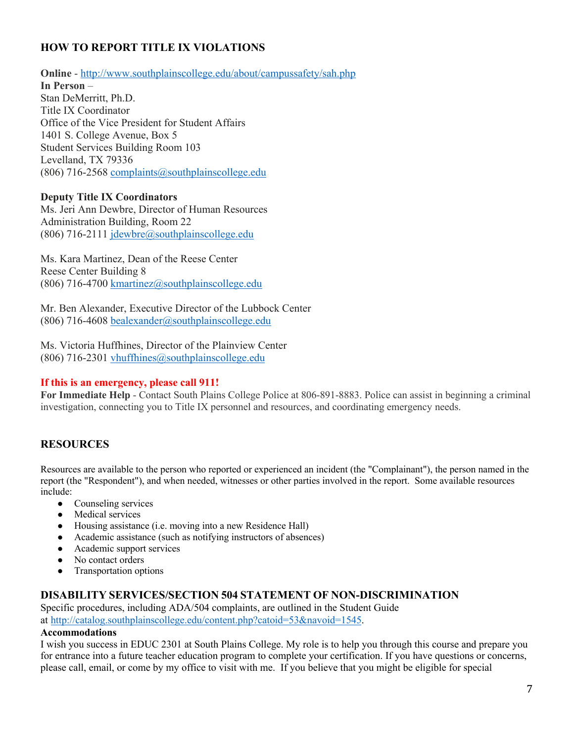# **HOW TO REPORT TITLE IX VIOLATIONS**

**Online** - http://www.southplainscollege.edu/about/campussafety/sah.php

**In Person** – Stan DeMerritt, Ph.D. Title IX Coordinator Office of the Vice President for Student Affairs 1401 S. College Avenue, Box 5 Student Services Building Room 103 Levelland, TX 79336 (806) 716-2568 complaints  $@$ southplainscollege.edu

#### **Deputy Title IX Coordinators**

Ms. Jeri Ann Dewbre, Director of Human Resources Administration Building, Room 22 (806) 716-2111 jdewbre@southplainscollege.edu

Ms. Kara Martinez, Dean of the Reese Center Reese Center Building 8 (806) 716-4700 kmartinez@southplainscollege.edu

Mr. Ben Alexander, Executive Director of the Lubbock Center (806) 716-4608 bealexander@southplainscollege.edu

Ms. Victoria Huffhines, Director of the Plainview Center (806) 716-2301 vhuffhines@southplainscollege.edu

## **If this is an emergency, please call 911!**

**For Immediate Help** - Contact South Plains College Police at 806-891-8883. Police can assist in beginning a criminal investigation, connecting you to Title IX personnel and resources, and coordinating emergency needs.

## **RESOURCES**

Resources are available to the person who reported or experienced an incident (the "Complainant"), the person named in the report (the "Respondent"), and when needed, witnesses or other parties involved in the report. Some available resources include:

- Counseling services
- Medical services
- Housing assistance (i.e. moving into a new Residence Hall)
- Academic assistance (such as notifying instructors of absences)
- Academic support services
- No contact orders
- Transportation options

## **DISABILITY SERVICES/SECTION 504 STATEMENT OF NON-DISCRIMINATION**

Specific procedures, including ADA/504 complaints, are outlined in the Student Guide at http://catalog.southplainscollege.edu/content.php?catoid=53&navoid=1545.

#### **Accommodations**

I wish you success in EDUC 2301 at South Plains College. My role is to help you through this course and prepare you for entrance into a future teacher education program to complete your certification. If you have questions or concerns, please call, email, or come by my office to visit with me. If you believe that you might be eligible for special